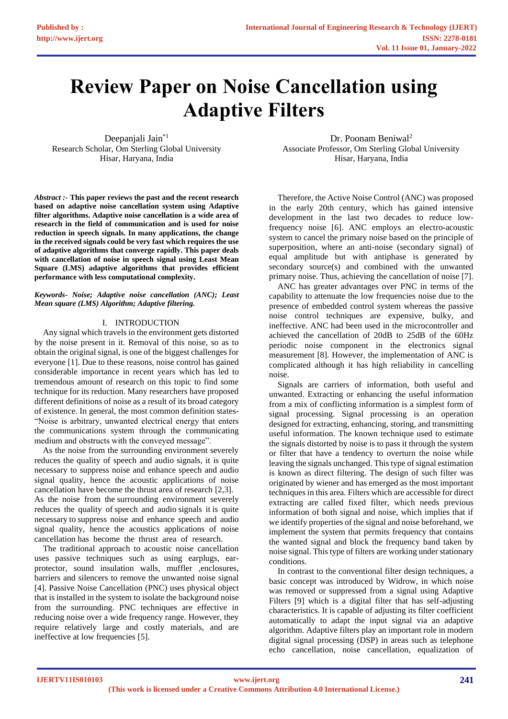# **Review Paper on Noise Cancellation using Adaptive Filters**

Deepanjali Jain\*1 Research Scholar, Om Sterling Global University Hisar, Haryana, India

*Abstract :-* **This paper reviews the past and the recent research based on adaptive noise cancellation system using Adaptive filter algorithms. Adaptive noise cancellation is a wide area of research in the field of communication and is used for noise reduction in speech signals. In many applications, the change in the received signals could be very fast which requires the use of adaptive algorithms that converge rapidly. This paper deals with cancellation of noise in speech signal using Least Mean Square (LMS) adaptive algorithms that provides efficient performance with less computational complexity.**

#### *Keywords- Noise; Adaptive noise cancellation (ANC); Least Mean square (LMS) Algorithm; Adaptive filtering.*

# I. INTRODUCTION

Any signal which travels in the environment gets distorted by the noise present in it. Removal of this noise, so as to obtain the original signal, is one of the biggest challenges for everyone [1]. Due to these reasons, noise control has gained considerable importance in recent years which has led to tremendous amount of research on this topic to find some technique for its reduction. Many researchers have proposed different definitions of noise as a result of its broad category of existence. In general, the most common definition states- "Noise is arbitrary, unwanted electrical energy that enters the communications system through the communicating medium and obstructs with the conveyed message".

As the noise from the surrounding environment severely reduces the quality of speech and audio signals, it is quite necessary to suppress noise and enhance speech and audio signal quality, hence the acoustic applications of noise cancellation have become the thrust area of research [2,3]. As the noise from the surrounding environment severely reduces the quality of speech and audio signals it is quite necessary to suppress noise and enhance speech and audio signal quality, hence the acoustics applications of noise cancellation has become the thrust area of research.

The traditional approach to acoustic noise cancellation uses passive techniques such as using earplugs, earprotector, sound insulation walls, muffler ,enclosures, barriers and silencers to remove the unwanted noise signal [4]. Passive Noise Cancellation (PNC) uses physical object that is installed in the system to isolate the background noise from the surrounding. PNC techniques are effective in reducing noise over a wide frequency range. However, they require relatively large and costly materials, and are ineffective at low frequencies [5].

Dr. Poonam Beniwal<sup>2</sup> Associate Professor, Om Sterling Global University Hisar, Haryana, India

Therefore, the Active Noise Control (ANC) was proposed in the early 20th century, which has gained intensive development in the last two decades to reduce lowfrequency noise [6]. ANC employs an electro-acoustic system to cancel the primary noise based on the principle of superposition, where an anti-noise (secondary signal) of equal amplitude but with antiphase is generated by secondary source(s) and combined with the unwanted primary noise. Thus, achieving the cancellation of noise [7].

ANC has greater advantages over PNC in terms of the capability to attenuate the low frequencies noise due to the presence of embedded control system whereas the passive noise control techniques are expensive, bulky, and ineffective. ANC had been used in the microcontroller and achieved the cancellation of 20dB to 25dB of the 60Hz periodic noise component in the electronics signal measurement [8]. However, the implementation of ANC is complicated although it has high reliability in cancelling noise.

Signals are carriers of information, both useful and unwanted. Extracting or enhancing the useful information from a mix of conflicting information is a simplest form of signal processing. Signal processing is an operation designed for extracting, enhancing, storing, and transmitting useful information. The known technique used to estimate the signals distorted by noise is to pass it through the system or filter that have a tendency to overturn the noise while leaving the signals unchanged. This type of signal estimation is known as direct filtering. The design of such filter was originated by wiener and has emerged as the most important techniques in this area. Filters which are accessible for direct extracting are called fixed filter, which needs previous information of both signal and noise, which implies that if we identify properties of the signal and noise beforehand, we implement the system that permits frequency that contains the wanted signal and block the frequency band taken by noise signal. This type of filters are working under stationary conditions.

In contrast to the conventional filter design techniques, a basic concept was introduced by Widrow, in which noise was removed or suppressed from a signal using Adaptive Filters [9] which is a digital filter that has self-adjusting characteristics. It is capable of adjusting its filter coefficient automatically to adapt the input signal via an adaptive algorithm. Adaptive filters play an important role in modern digital signal processing (DSP) in areas such as telephone echo cancellation, noise cancellation, equalization of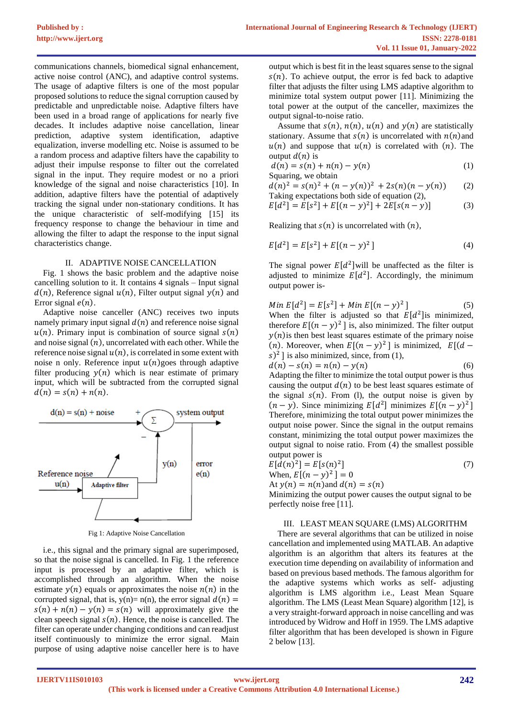communications channels, biomedical signal enhancement, active noise control (ANC), and adaptive control systems. The usage of adaptive filters is one of the most popular proposed solutions to reduce the signal corruption caused by predictable and unpredictable noise. Adaptive filters have been used in a broad range of applications for nearly five decades. It includes adaptive noise cancellation, linear prediction, adaptive system identification, adaptive equalization, inverse modelling etc. Noise is assumed to be a random process and adaptive filters have the capability to adjust their impulse response to filter out the correlated signal in the input. They require modest or no a priori knowledge of the signal and noise characteristics [10]. In addition, adaptive filters have the potential of adaptively tracking the signal under non-stationary conditions. It has the unique characteristic of self-modifying [15] its frequency response to change the behaviour in time and allowing the filter to adapt the response to the input signal characteristics change.

#### II. ADAPTIVE NOISE CANCELLATION

Fig. 1 shows the basic problem and the adaptive noise cancelling solution to it. It contains 4 signals – Input signal  $d(n)$ , Reference signal  $u(n)$ , Filter output signal  $y(n)$  and Error signal  $e(n)$ .

Adaptive noise canceller (ANC) receives two inputs namely primary input signal  $d(n)$  and reference noise signal  $u(n)$ . Primary input is combination of source signal  $s(n)$ and noise signal  $(n)$ , uncorrelated with each other. While the reference noise signal  $u(n)$ , is correlated in some extent with noise n only. Reference input  $u(n)$ goes through adaptive filter producing  $y(n)$  which is near estimate of primary input, which will be subtracted from the corrupted signal  $d(n) = s(n) + n(n).$ 



Fig 1: Adaptive Noise Cancellation

i.e., this signal and the primary signal are superimposed, so that the noise signal is cancelled. In Fig. 1 the reference input is processed by an adaptive filter, which is accomplished through an algorithm. When the noise estimate  $y(n)$  equals or approximates the noise  $n(n)$  in the corrupted signal, that is,  $y(n)= n(n)$ , the error signal  $d(n)$  =  $s(n) + n(n) - y(n) = s(n)$  will approximately give the clean speech signal  $s(n)$ . Hence, the noise is cancelled. The filter can operate under changing conditions and can readjust itself continuously to minimize the error signal. Main purpose of using adaptive noise canceller here is to have

output which is best fit in the least squares sense to the signal  $s(n)$ . To achieve output, the error is fed back to adaptive filter that adjusts the filter using LMS adaptive algorithm to minimize total system output power [11]. Minimizing the total power at the output of the canceller, maximizes the output signal-to-noise ratio.

Assume that  $s(n)$ ,  $n(n)$ ,  $u(n)$  and  $y(n)$  are statistically stationary. Assume that  $s(n)$  is uncorrelated with  $n(n)$  and  $u(n)$  and suppose that  $u(n)$  is correlated with  $(n)$ . The output  $d(n)$  is

$$
d(n) = s(n) + n(n) - y(n)
$$
 (1)

Squaring, we obtain

 $d(n)^2 = s(n)^2 + (n - y(n))^2 + 2s(n)(n - y(n))$  (2) Taking expectations both side of equation (2),

$$
E[d2] = E[s2] + E[(n - y)2] + 2E[s(n - y)]
$$
 (3)

Realizing that  $s(n)$  is uncorrelated with  $(n)$ ,

$$
E[d^2] = E[s^2] + E[(n - y)^2]
$$
\n(4)

The signal power  $E[d^2]$  will be unaffected as the filter is adjusted to minimize  $E[d^2]$ . Accordingly, the minimum output power is-

Min 
$$
E[d^2] = E[s^2] + Min E[(n - y)^2]
$$
 (5)  
When the filter is adjusted so that  $E[d^2]$  is minimized,  
therefore  $E[(n - y)^2]$  is, also minimized. The filter output  
 $y(n)$  is then best least squares estimate of the primary noise  
(n). Moreover, when  $E[(n - y)^2]$  is minimized,  $E[(d - s)^2]$  is also minimized, since, from (1),

$$
d(n) - s(n) = n(n) - y(n)
$$
 (6)

Adapting the filter to minimize the total output power is thus causing the output  $d(n)$  to be best least squares estimate of the signal  $s(n)$ . From (1), the output noise is given by  $(n - y)$ . Since minimizing  $E[d^2]$  minimizes  $E[(n - y)^2]$ Therefore, minimizing the total output power minimizes the output noise power. Since the signal in the output remains constant, minimizing the total output power maximizes the output signal to noise ratio. From (4) the smallest possible output power is

$$
E[d(n)^{2}] = E[s(n)^{2}]
$$
\n(7)  
\nWhen,  $E[(n - y)^{2}] = 0$   
\nAt  $y(n) = n(n)$  and  $d(n) = s(n)$   
\nMinimizing the output power causes the output signal to be

Minimizing the output power causes the output signal to be perfectly noise free [11].

# III. LEAST MEAN SQUARE (LMS) ALGORITHM

There are several algorithms that can be utilized in noise cancellation and implemented using MATLAB. An adaptive algorithm is an algorithm that alters its features at the execution time depending on availability of information and based on previous based methods. The famous algorithm for the adaptive systems which works as self- adjusting algorithm is LMS algorithm i.e., Least Mean Square algorithm. The LMS (Least Mean Square) algorithm [12], is a very straight-forward approach in noise cancelling and was introduced by Widrow and Hoff in 1959. The LMS adaptive filter algorithm that has been developed is shown in Figure 2 below [13].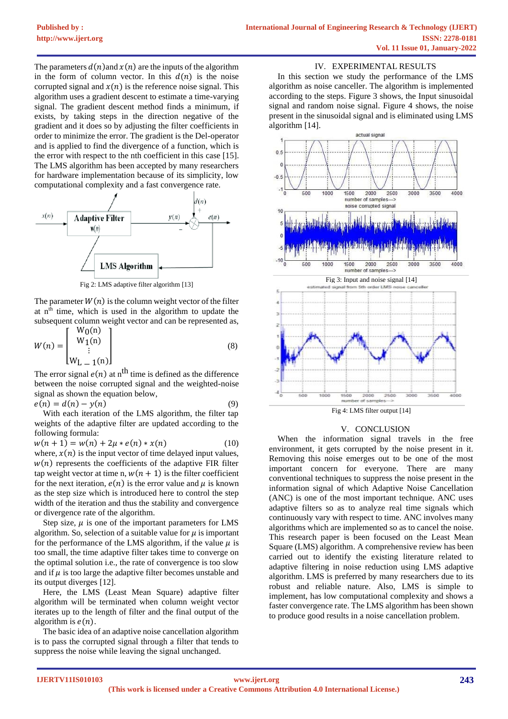The parameters  $d(n)$  and  $x(n)$  are the inputs of the algorithm in the form of column vector. In this  $d(n)$  is the noise corrupted signal and  $x(n)$  is the reference noise signal. This algorithm uses a gradient descent to estimate a time-varying signal. The gradient descent method finds a minimum, if exists, by taking steps in the direction negative of the gradient and it does so by adjusting the filter coefficients in order to minimize the error. The gradient is the Del-operator and is applied to find the divergence of a function, which is the error with respect to the nth coefficient in this case [15]. The LMS algorithm has been accepted by many researchers for hardware implementation because of its simplicity, low computational complexity and a fast convergence rate.



Fig 2: LMS adaptive filter algorithm [13]

The parameter  $W(n)$  is the column weight vector of the filter at  $n<sup>th</sup>$  time, which is used in the algorithm to update the subsequent column weight vector and can be represented as,  $W_0(n)$ 

$$
W(n) = \begin{bmatrix} w_0(n) \\ W_1(n) \\ \vdots \\ W_{L-1}(n) \end{bmatrix}
$$
 (8)

The error signal  $e(n)$  at n<sup>th</sup> time is defined as the difference between the noise corrupted signal and the weighted-noise signal as shown the equation below,

$$
e(n) = d(n) - y(n) \tag{9}
$$

With each iteration of the LMS algorithm, the filter tap weights of the adaptive filter are updated according to the following formula:

 $w(n + 1) = w(n) + 2\mu * e(n) * x(n)$  (10) where,  $x(n)$  is the input vector of time delayed input values,  $w(n)$  represents the coefficients of the adaptive FIR filter tap weight vector at time n,  $w(n + 1)$  is the filter coefficient for the next iteration,  $e(n)$  is the error value and  $\mu$  is known as the step size which is introduced here to control the step width of the iteration and thus the stability and convergence or divergence rate of the algorithm.

Step size,  $\mu$  is one of the important parameters for LMS algorithm. So, selection of a suitable value for  $\mu$  is important for the performance of the LMS algorithm, if the value  $\mu$  is too small, the time adaptive filter takes time to converge on the optimal solution i.e., the rate of convergence is too slow and if  $\mu$  is too large the adaptive filter becomes unstable and its output diverges [12].

Here, the LMS (Least Mean Square) adaptive filter algorithm will be terminated when column weight vector iterates up to the length of filter and the final output of the algorithm is  $e(n)$ .

The basic idea of an adaptive noise cancellation algorithm is to pass the corrupted signal through a filter that tends to suppress the noise while leaving the signal unchanged.

# IV. EXPERIMENTAL RESULTS

In this section we study the performance of the LMS algorithm as noise canceller. The algorithm is implemented according to the steps. Figure 3 shows, the Input sinusoidal signal and random noise signal. Figure 4 shows, the noise present in the sinusoidal signal and is eliminated using LMS algorithm [14].





# V. CONCLUSION

When the information signal travels in the free environment, it gets corrupted by the noise present in it. Removing this noise emerges out to be one of the most important concern for everyone. There are many conventional techniques to suppress the noise present in the information signal of which Adaptive Noise Cancellation (ANC) is one of the most important technique. ANC uses adaptive filters so as to analyze real time signals which continuously vary with respect to time. ANC involves many algorithms which are implemented so as to cancel the noise. This research paper is been focused on the Least Mean Square (LMS) algorithm. A comprehensive review has been carried out to identify the existing literature related to adaptive filtering in noise reduction using LMS adaptive algorithm. LMS is preferred by many researchers due to its robust and reliable nature. Also, LMS is simple to implement, has low computational complexity and shows a faster convergence rate. The LMS algorithm has been shown to produce good results in a noise cancellation problem.